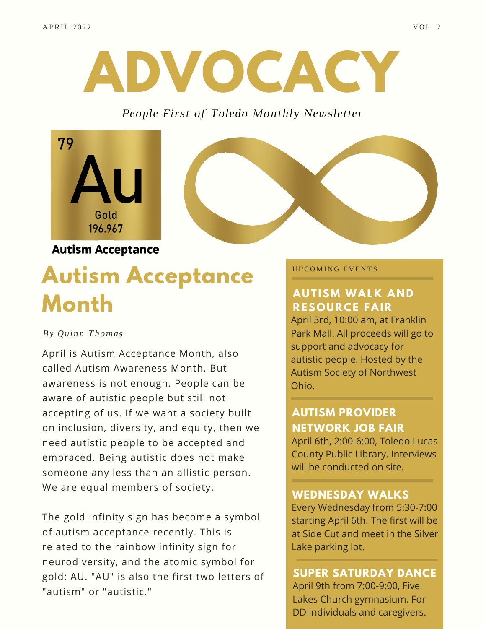

#### *People First of Toledo Monthly Newsletter*



# **Autism Acceptance Month**

#### *By Quinn Thomas*

April is Autism Acceptance Month, also called Autism Awareness Month. But awareness is not enough. People can be aware of autistic people but still not accepting of us. If we want a society built on inclusion, diversity, and equity, then we need autistic people to be accepted and embraced. Being autistic does not make someone any less than an allistic person. We are equal members of society.

The gold infinity sign has become a symbol of autism acceptance recently. This is related to the rainbow infinity sign for neurodiversity, and the atomic symbol for gold: AU. "AU" is also the first two letters of "autism" or "autistic."

#### UPCOMING EVENTS

### **AUTISM WALK AND RESOURCE FAIR**

April 3rd, 10:00 am, at Franklin Park Mall. All proceeds will go to support and advocacy for autistic people. Hosted by the Autism Society of Northwest Ohio.

## **AUTISM PROVIDER NETWORK JOB FAIR**

April 6th, 2:00-6:00, Toledo Lucas County Public Library. Interviews will be conducted on site.

#### **WEDNESDAY WALKS**

Every Wednesday from 5:30-7:00 starting April 6th. The first will be at Side Cut and meet in the Silver Lake parking lot.

## **SUPER SATURDAY DANCE**

April 9th from 7:00-9:00, Five Lakes Church gymnasium. For DD individuals and caregivers.